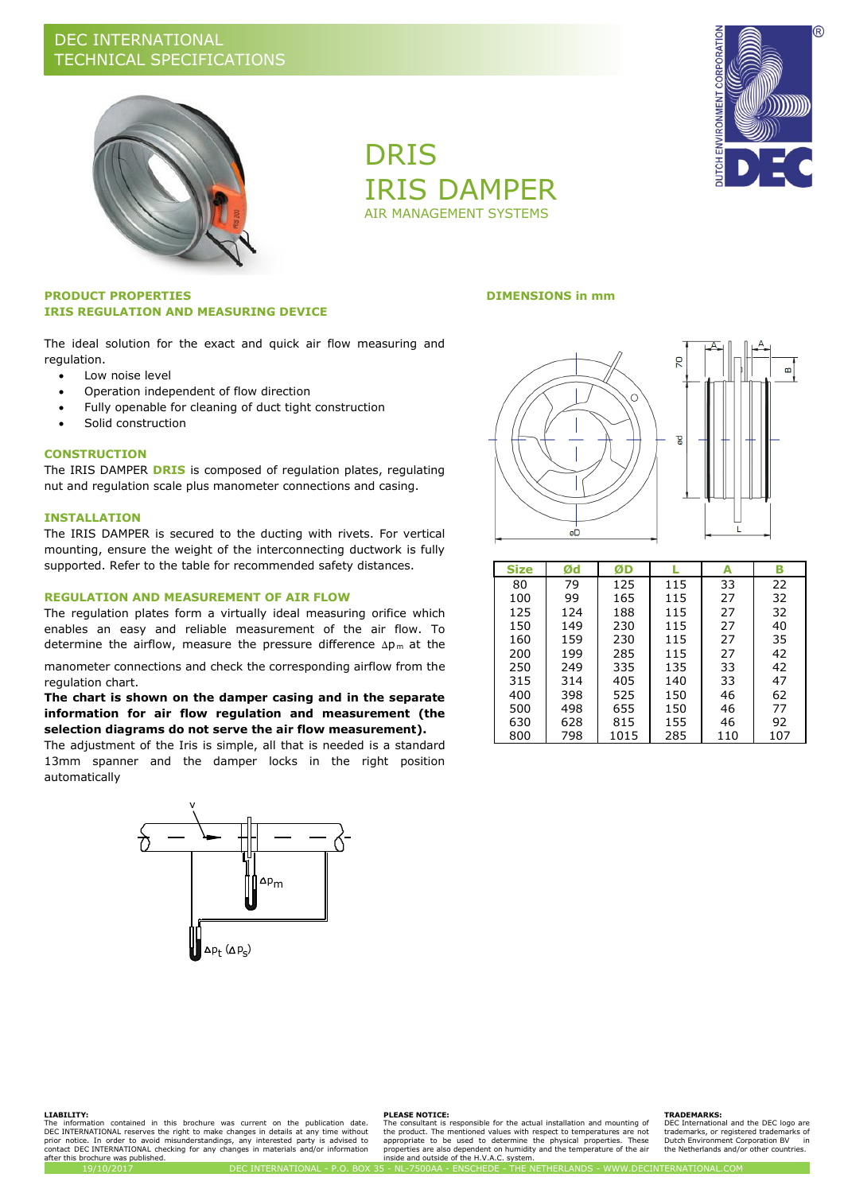

DRIS IRIS DAMPER AIR MANAGEMENT SYSTEMS



### **PRODUCT PROPERTIES DIMENSIONS in mm IRIS REGULATION AND MEASURING DEVICE**

The ideal solution for the exact and quick air flow measuring and regulation.

- Low noise level
- Operation independent of flow direction
- Fully openable for cleaning of duct tight construction
- Solid construction

#### **CONSTRUCTION**

The IRIS DAMPER **DRIS** is composed of regulation plates, regulating nut and regulation scale plus manometer connections and casing.

### **INSTALLATION**

The IRIS DAMPER is secured to the ducting with rivets. For vertical mounting, ensure the weight of the interconnecting ductwork is fully supported. Refer to the table for recommended safety distances.

### **REGULATION AND MEASUREMENT OF AIR FLOW**

The regulation plates form a virtually ideal measuring orifice which enables an easy and reliable measurement of the air flow. To determine the airflow, measure the pressure difference  $\Delta p_m$  at the

manometer connections and check the corresponding airflow from the regulation chart.

### **The chart is shown on the damper casing and in the separate information for air flow regulation and measurement (the selection diagrams do not serve the air flow measurement).**

The adjustment of the Iris is simple, all that is needed is a standard 13mm spanner and the damper locks in the right position automatically





| <b>Size</b> | Ød  | ØD   |     | А   | В   |
|-------------|-----|------|-----|-----|-----|
| 80          | 79  | 125  | 115 | 33  | 22  |
| 100         | 99  | 165  | 115 | 27  | 32  |
| 125         | 124 | 188  | 115 | 27  | 32  |
| 150         | 149 | 230  | 115 | 27  | 40  |
| 160         | 159 | 230  | 115 | 27  | 35  |
| 200         | 199 | 285  | 115 | 27  | 42  |
| 250         | 249 | 335  | 135 | 33  | 42  |
| 315         | 314 | 405  | 140 | 33  | 47  |
| 400         | 398 | 525  | 150 | 46  | 62  |
| 500         | 498 | 655  | 150 | 46  | 77  |
| 630         | 628 | 815  | 155 | 46  | 92  |
| 800         | 798 | 1015 | 285 | 110 | 107 |

#### **LIABILITY:**

The information contained in this brochure was current on the publication date.<br>DEC\_INTERNATIONAL\_reserves\_the\_right\_to\_make\_changes\_in\_details\_at\_any\_time\_without\_<br>prior\_notice.\_In\_order\_to\_avoid\_misunderstandings,\_any\_in after this brochure was published.

#### **PLEASE NOTICE:**

The consultant is responsible for the actual installation and mounting of the product. The mentioned values with respect to temperatures are not<br>appropriate to be used to determine the physical properties. These<br>properties are also dependent on humidity and the temperature of the air<br>inside and

#### **TRADEMARKS:**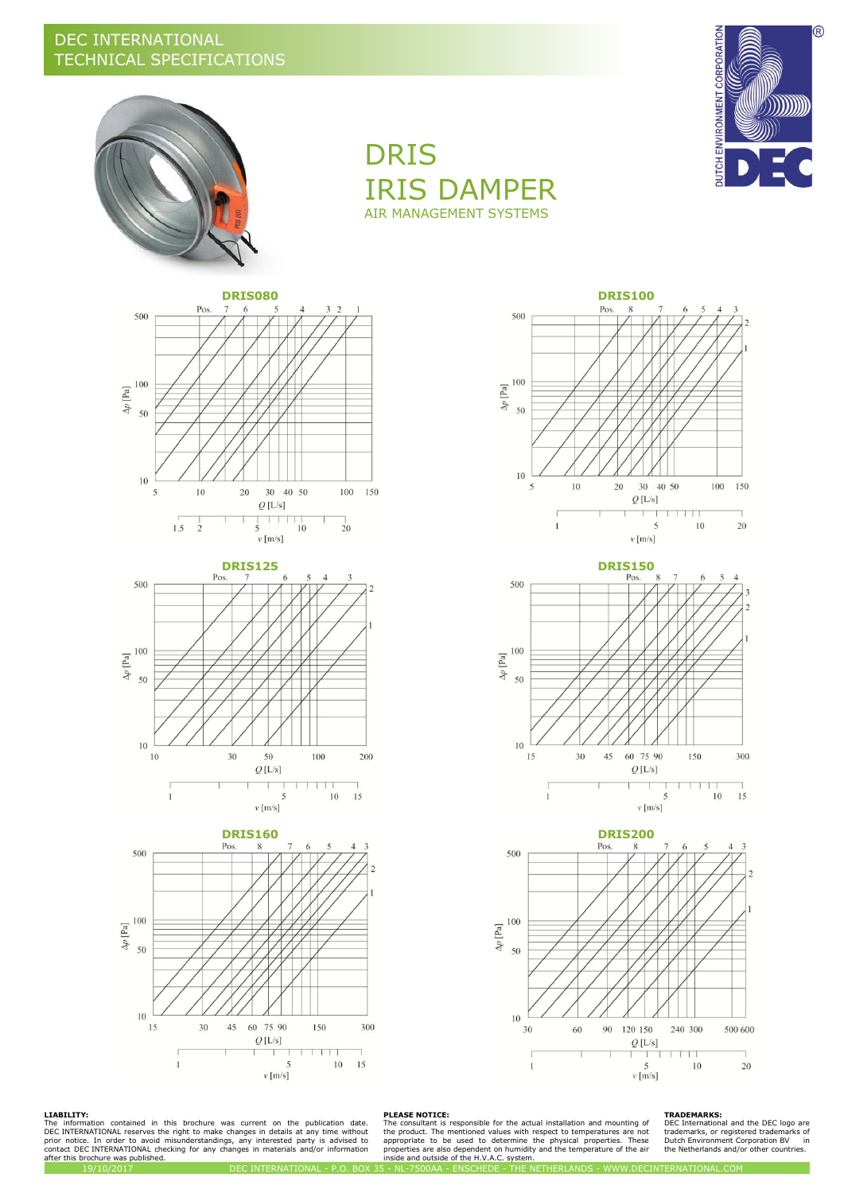



DRIS IRIS DAMPER AIR MANAGEMENT SYSTEMS













#### **LIABILITY:**

The information contained in this brochure was current on the publication date.<br>DEC\_INTERNATIONAL\_reserves\_the\_right\_to\_make\_changes\_in\_details\_at\_any\_time\_without\_<br>prior\_notice.\_In\_order\_to\_avoid\_misunderstandings,\_any\_in after this brochure was published.<br>19/10/2017

**PLEASE NOTICE:**<br>The consultant is responsible for the actual installation and mounting of<br>the product. The mentioned values with respect to temperatures are not<br>appropriate to be used to determine the physical properties.

#### **TRADEMARKS:**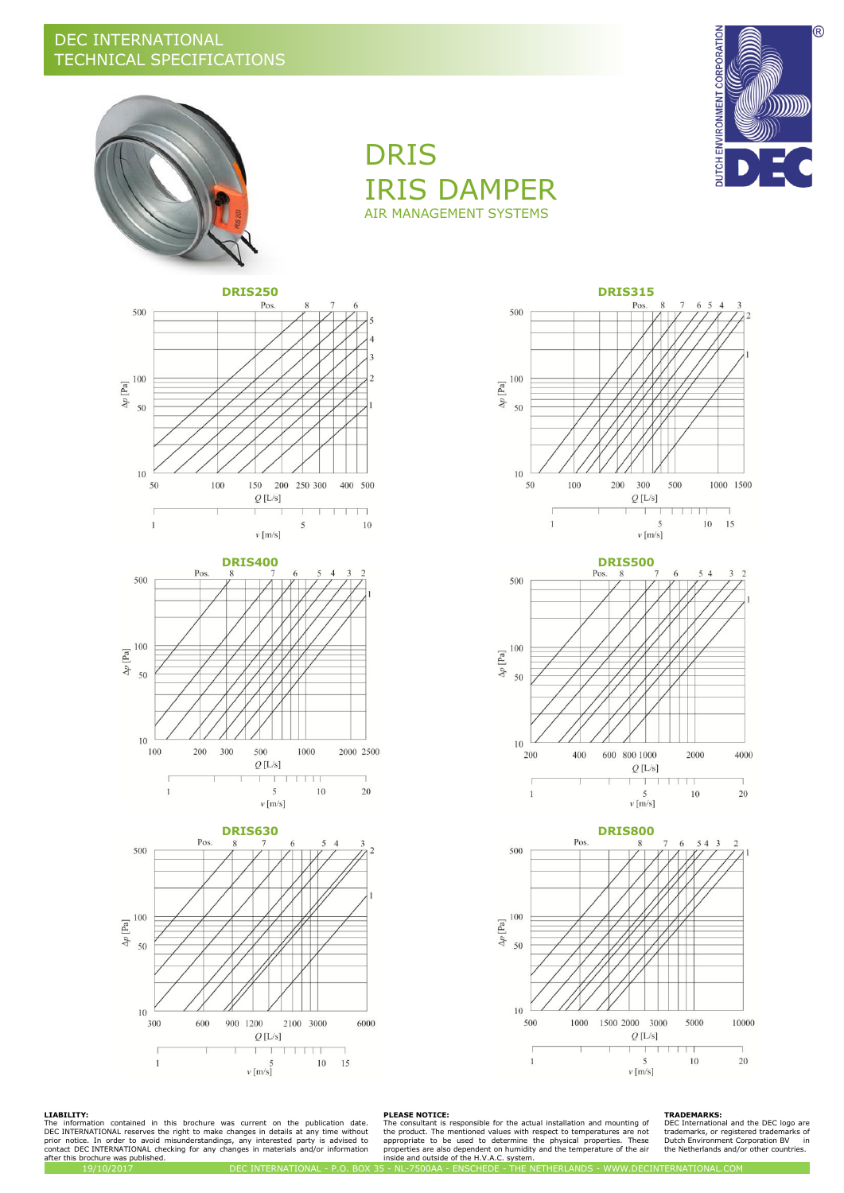



500

DRIS IRIS DAMPER AIR MANAGEMENT SYSTEMS

Pos.













#### **LIABILITY:**

The information contained in this brochure was current on the publication date.<br>DEC\_INTERNATIONAL\_reserves\_the\_right\_to\_make\_changes\_in\_details\_at\_any\_time\_without\_<br>prior\_notice.\_In\_order\_to\_avoid\_misunderstandings,\_any\_in after this brochure was published.

**PLEASE NOTICE:**<br>The consultant is responsible for the actual installation and mounting of<br>the product. The mentioned values with respect to temperatures are not<br>appropriate to be used to determine the physical properties.

#### **TRADEMARKS:**